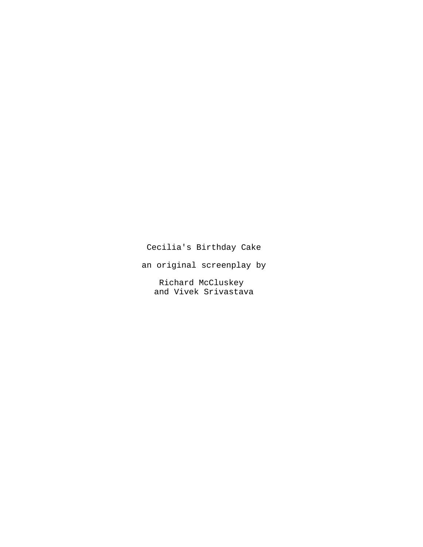# Cecilia's Birthday Cake

an original screenplay by

Richard McCluskey and Vivek Srivastava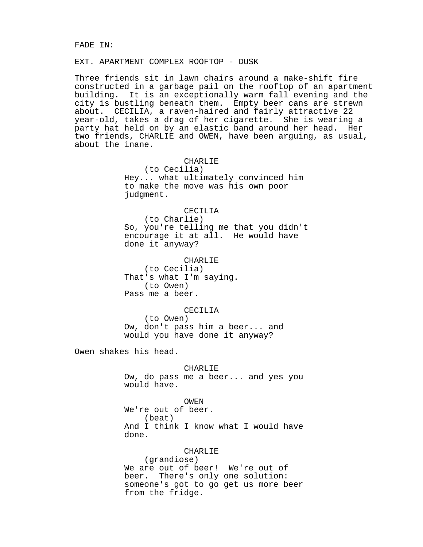#### FADE IN:

### EXT. APARTMENT COMPLEX ROOFTOP - DUSK

Three friends sit in lawn chairs around a make-shift fire constructed in a garbage pail on the rooftop of an apartment building. It is an exceptionally warm fall evening and the city is bustling beneath them. Empty beer cans are strewn about. CECILIA, a raven-haired and fairly attractive 22 year-old, takes a drag of her cigarette. She is wearing a party hat held on by an elastic band around her head. Her two friends, CHARLIE and OWEN, have been arguing, as usual, about the inane.

### CHARLIE

(to Cecilia) Hey... what ultimately convinced him to make the move was his own poor judgment.

#### CECILIA

(to Charlie) So, you're telling me that you didn't encourage it at all. He would have done it anyway?

### CHARLIE (to Cecilia) That's what I'm saying. (to Owen) Pass me a beer.

#### CECILIA

(to Owen) Ow, don't pass him a beer... and would you have done it anyway?

Owen shakes his head.

### CHARLIE

Ow, do pass me a beer... and yes you would have.

### OWEN

We're out of beer. (beat) And I think I know what I would have done.

### CHARLIE

(grandiose) We are out of beer! We're out of beer. There's only one solution: someone's got to go get us more beer from the fridge.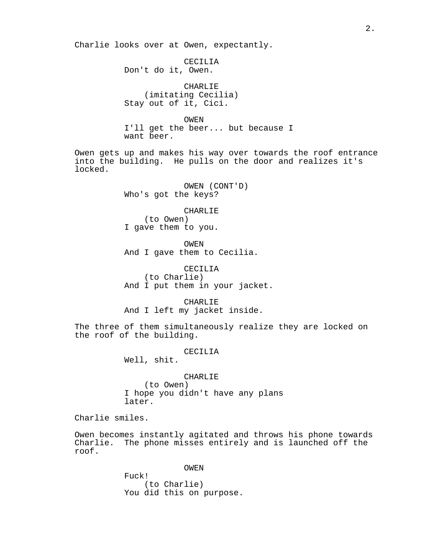Charlie looks over at Owen, expectantly.

CECILIA Don't do it, Owen.

CHARLIE (imitating Cecilia) Stay out of it, Cici.

OWEN

I'll get the beer... but because I want beer.

Owen gets up and makes his way over towards the roof entrance into the building. He pulls on the door and realizes it's locked.

> OWEN (CONT'D) Who's got the keys?

> > CHARLIE

(to Owen) I gave them to you.

OWEN And I gave them to Cecilia.

CECILIA (to Charlie) And I put them in your jacket.

CHARLIE And I left my jacket inside.

The three of them simultaneously realize they are locked on the roof of the building.

#### CECILIA

Well, shit.

### CHARLIE

(to Owen) I hope you didn't have any plans later.

Charlie smiles.

Owen becomes instantly agitated and throws his phone towards Charlie. The phone misses entirely and is launched off the roof.

OWEN

Fuck! (to Charlie) You did this on purpose.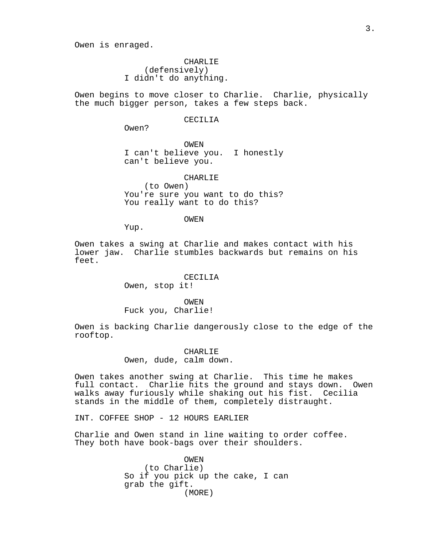Owen is enraged.

CHARLIE (defensively) I didn't do anything.

Owen begins to move closer to Charlie. Charlie, physically the much bigger person, takes a few steps back.

#### CECILIA

Owen?

OWEN I can't believe you. I honestly can't believe you.

CHARLIE

(to Owen) You're sure you want to do this? You really want to do this?

OWEN

Yup.

Owen takes a swing at Charlie and makes contact with his lower jaw. Charlie stumbles backwards but remains on his feet.

### CECILIA

Owen, stop it!

#### OWEN

Fuck you, Charlie!

Owen is backing Charlie dangerously close to the edge of the rooftop.

#### CHARLIE

Owen, dude, calm down.

Owen takes another swing at Charlie. This time he makes full contact. Charlie hits the ground and stays down. Owen walks away furiously while shaking out his fist. Cecilia stands in the middle of them, completely distraught.

INT. COFFEE SHOP - 12 HOURS EARLIER

Charlie and Owen stand in line waiting to order coffee. They both have book-bags over their shoulders.

> OWEN (to Charlie) So if you pick up the cake, I can grab the gift. (MORE)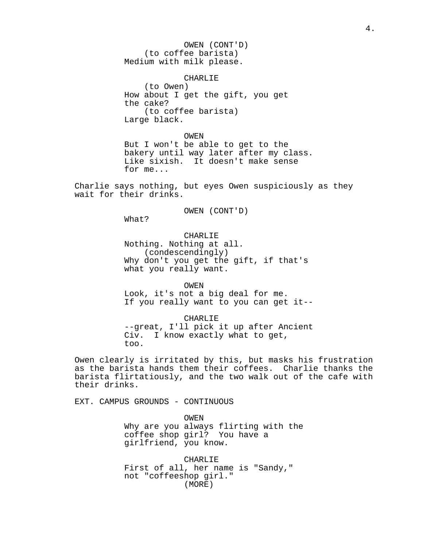OWEN (CONT'D) (to coffee barista) Medium with milk please.

#### CHARLIE

(to Owen) How about I get the gift, you get the cake? (to coffee barista) Large black.

OWEN But I won't be able to get to the bakery until way later after my class. Like sixish. It doesn't make sense for me...

Charlie says nothing, but eyes Owen suspiciously as they wait for their drinks.

OWEN (CONT'D)

What?

CHARLIE

Nothing. Nothing at all. (condescendingly) Why don't you get the gift, if that's what you really want.

OWEN

Look, it's not a big deal for me. If you really want to you can get it--

CHARLIE

--great, I'll pick it up after Ancient Civ. I know exactly what to get, too.

Owen clearly is irritated by this, but masks his frustration as the barista hands them their coffees. Charlie thanks the barista flirtatiously, and the two walk out of the cafe with their drinks.

EXT. CAMPUS GROUNDS - CONTINUOUS

OWEN Why are you always flirting with the coffee shop girl? You have a girlfriend, you know.

CHARLIE First of all, her name is "Sandy," not "coffeeshop girl." (MORE)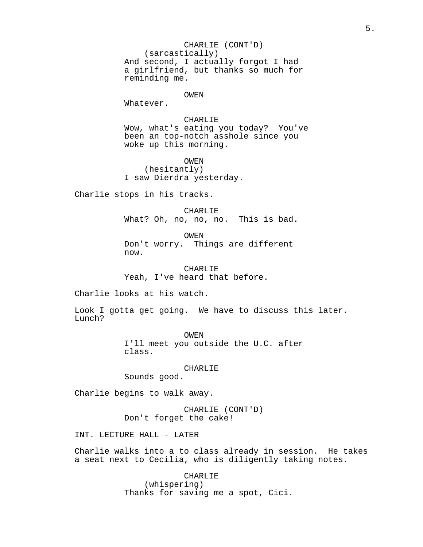CHARLIE (CONT'D) (sarcastically) And second, I actually forgot I had a girlfriend, but thanks so much for reminding me.

### OWEN

Whatever.

### CHARLIE

Wow, what's eating you today? You've been an top-notch asshole since you woke up this morning.

OWEN (hesitantly) I saw Dierdra yesterday.

Charlie stops in his tracks.

CHARLIE What? Oh, no, no, no. This is bad.

OWEN Don't worry. Things are different now.

CHARLIE Yeah, I've heard that before.

Charlie looks at his watch.

Look I gotta get going. We have to discuss this later. Lunch?

> OWEN I'll meet you outside the U.C. after class.

### CHARLIE

Sounds good.

Charlie begins to walk away.

CHARLIE (CONT'D) Don't forget the cake!

INT. LECTURE HALL - LATER

Charlie walks into a to class already in session. He takes a seat next to Cecilia, who is diligently taking notes.

> CHARLIE (whispering) Thanks for saving me a spot, Cici.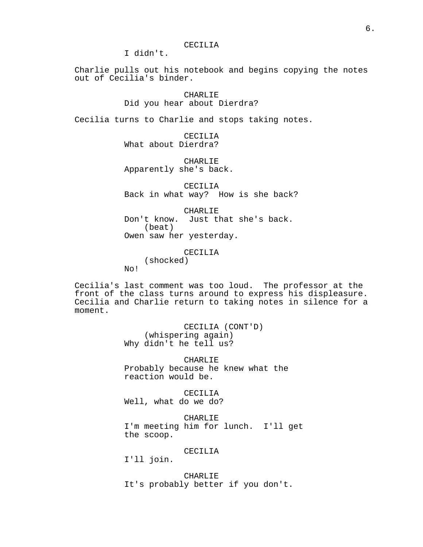I didn't.

Charlie pulls out his notebook and begins copying the notes out of Cecilia's binder.

> CHARLIE Did you hear about Dierdra?

Cecilia turns to Charlie and stops taking notes.

CECILIA What about Dierdra?

CHARLIE Apparently she's back.

CECILIA Back in what way? How is she back?

CHARLIE Don't know. Just that she's back. (beat) Owen saw her yesterday.

CECILIA

(shocked) No!

Cecilia's last comment was too loud. The professor at the front of the class turns around to express his displeasure. Cecilia and Charlie return to taking notes in silence for a moment.

> CECILIA (CONT'D) (whispering again) Why didn't he tell us?

CHARLIE Probably because he knew what the reaction would be.

CECILIA Well, what do we do?

CHARLIE I'm meeting him for lunch. I'll get the scoop.

CECILIA

I'll join.

CHARLIE It's probably better if you don't.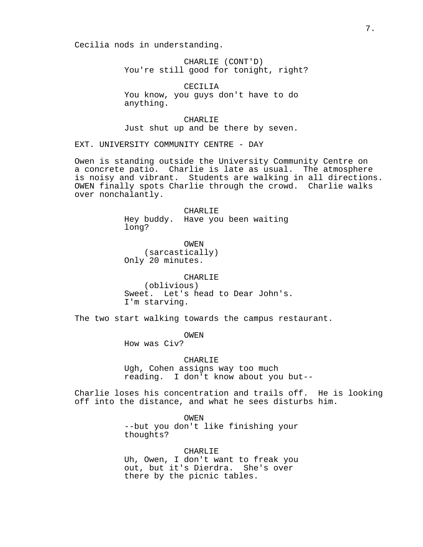Cecilia nods in understanding.

CHARLIE (CONT'D) You're still good for tonight, right?

CECILIA You know, you guys don't have to do anything.

CHARLIE Just shut up and be there by seven.

EXT. UNIVERSITY COMMUNITY CENTRE - DAY

Owen is standing outside the University Community Centre on a concrete patio. Charlie is late as usual. The atmosphere is noisy and vibrant. Students are walking in all directions. OWEN finally spots Charlie through the crowd. Charlie walks over nonchalantly.

> CHARLIE Hey buddy. Have you been waiting long?

OWEN (sarcastically) Only 20 minutes.

CHARLIE (oblivious) Sweet. Let's head to Dear John's. I'm starving.

The two start walking towards the campus restaurant.

OWEN

How was Civ?

CHARLIE

Ugh, Cohen assigns way too much reading. I don't know about you but--

Charlie loses his concentration and trails off. He is looking off into the distance, and what he sees disturbs him.

> OWEN --but you don't like finishing your thoughts?

> CHARLIE Uh, Owen, I don't want to freak you out, but it's Dierdra. She's over there by the picnic tables.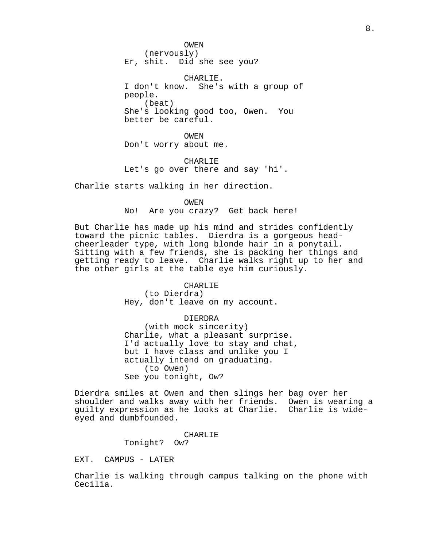OWEN (nervously) Er, shit. Did she see you?

CHARLIE. I don't know. She's with a group of people. (beat) She's looking good too, Owen. You better be careful.

OWEN Don't worry about me.

CHARLIE Let's go over there and say 'hi'.

Charlie starts walking in her direction.

OWEN

No! Are you crazy? Get back here!

But Charlie has made up his mind and strides confidently toward the picnic tables. Dierdra is a gorgeous headcheerleader type, with long blonde hair in a ponytail. Sitting with a few friends, she is packing her things and getting ready to leave. Charlie walks right up to her and the other girls at the table eye him curiously.

#### CHARLIE

(to Dierdra) Hey, don't leave on my account.

### DIERDRA

(with mock sincerity) Charlie, what a pleasant surprise. I'd actually love to stay and chat, but I have class and unlike you I actually intend on graduating. (to Owen) See you tonight, Ow?

Dierdra smiles at Owen and then slings her bag over her shoulder and walks away with her friends. Owen is wearing a guilty expression as he looks at Charlie. Charlie is wideeyed and dumbfounded.

#### CHARLIE

Tonight? Ow?

EXT. CAMPUS - LATER

Charlie is walking through campus talking on the phone with Cecilia.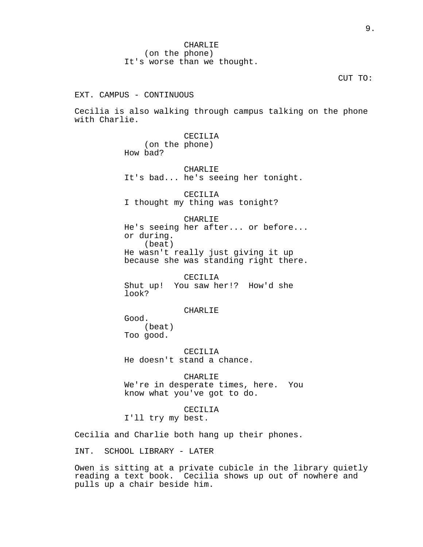CHARLIE (on the phone) It's worse than we thought.

#### CUT TO:

EXT. CAMPUS - CONTINUOUS

Cecilia is also walking through campus talking on the phone with Charlie.

> CECILIA (on the phone) How bad?

CHARLIE It's bad... he's seeing her tonight.

CECILIA I thought my thing was tonight?

CHARLIE He's seeing her after... or before... or during. (beat) He wasn't really just giving it up because she was standing right there.

CECILIA Shut up! You saw her!? How'd she look?

### CHARLIE

Good. (beat) Too good.

CECILIA He doesn't stand a chance.

CHARLIE We're in desperate times, here. You know what you've got to do.

### CECILIA

I'll try my best.

Cecilia and Charlie both hang up their phones.

INT. SCHOOL LIBRARY - LATER

Owen is sitting at a private cubicle in the library quietly reading a text book. Cecilia shows up out of nowhere and pulls up a chair beside him.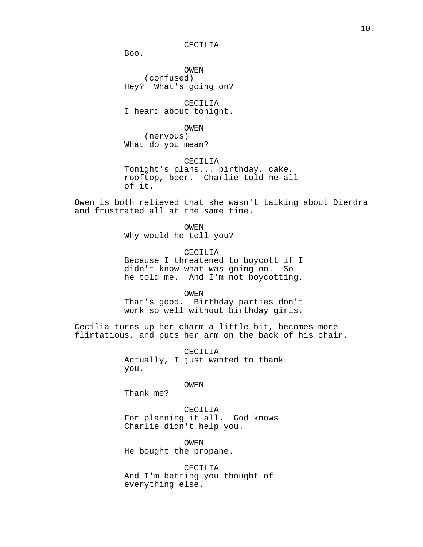#### CECILIA

Boo.

OWEN (confused) Hey? What's going on?

CECILIA I heard about tonight.

OWEN

(nervous) What do you mean?

CECILIA

Tonight's plans... birthday, cake, rooftop, beer. Charlie told me all of it.

Owen is both relieved that she wasn't talking about Dierdra and frustrated all at the same time.

> OWEN Why would he tell you?

CECILIA Because I threatened to boycott if I didn't know what was going on. So he told me. And I'm not boycotting.

OWEN

That's good. Birthday parties don't work so well without birthday girls.

Cecilia turns up her charm a little bit, becomes more flirtatious, and puts her arm on the back of his chair.

> CECILIA Actually, I just wanted to thank you.

> > OWEN

Thank me?

CECILIA For planning it all. God knows Charlie didn't help you.

OWEN He bought the propane.

CECILIA And I'm betting you thought of everything else.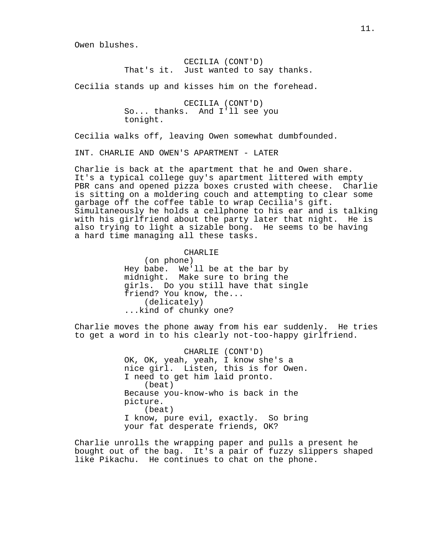Owen blushes.

CECILIA (CONT'D) That's it. Just wanted to say thanks.

Cecilia stands up and kisses him on the forehead.

CECILIA (CONT'D) So... thanks. And I'll see you tonight.

Cecilia walks off, leaving Owen somewhat dumbfounded.

INT. CHARLIE AND OWEN'S APARTMENT - LATER

Charlie is back at the apartment that he and Owen share. It's a typical college guy's apartment littered with empty PBR cans and opened pizza boxes crusted with cheese. Charlie is sitting on a moldering couch and attempting to clear some garbage off the coffee table to wrap Cecilia's gift. Simultaneously he holds a cellphone to his ear and is talking with his girlfriend about the party later that night. He is also trying to light a sizable bong. He seems to be having a hard time managing all these tasks.

### CHARLIE

(on phone) Hey babe. We'll be at the bar by midnight. Make sure to bring the girls. Do you still have that single friend? You know, the... (delicately) ...kind of chunky one?

Charlie moves the phone away from his ear suddenly. He tries to get a word in to his clearly not-too-happy girlfriend.

> CHARLIE (CONT'D) OK, OK, yeah, yeah, I know she's a nice girl. Listen, this is for Owen. I need to get him laid pronto. (beat) Because you-know-who is back in the picture. (beat) I know, pure evil, exactly. So bring your fat desperate friends, OK?

Charlie unrolls the wrapping paper and pulls a present he bought out of the bag. It's a pair of fuzzy slippers shaped like Pikachu. He continues to chat on the phone.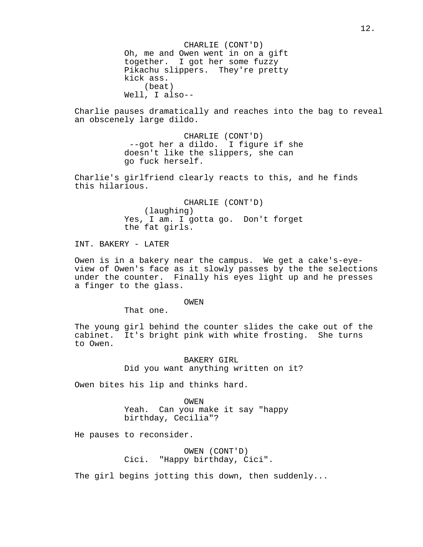CHARLIE (CONT'D) Oh, me and Owen went in on a gift together. I got her some fuzzy Pikachu slippers. They're pretty kick ass. (beat) Well, I also--

Charlie pauses dramatically and reaches into the bag to reveal an obscenely large dildo.

> CHARLIE (CONT'D) --got her a dildo. I figure if she doesn't like the slippers, she can go fuck herself.

Charlie's girlfriend clearly reacts to this, and he finds this hilarious.

> CHARLIE (CONT'D) (laughing) Yes, I am. I gotta go. Don't forget the fat girls.

INT. BAKERY - LATER

Owen is in a bakery near the campus. We get a cake's-eyeview of Owen's face as it slowly passes by the the selections under the counter. Finally his eyes light up and he presses a finger to the glass.

#### OWEN

That one.

The young girl behind the counter slides the cake out of the cabinet. It's bright pink with white frosting. She turns to Owen.

> BAKERY GIRL Did you want anything written on it?

Owen bites his lip and thinks hard.

OWEN Yeah. Can you make it say "happy birthday, Cecilia"?

He pauses to reconsider.

OWEN (CONT'D) Cici. "Happy birthday, Cici".

The girl begins jotting this down, then suddenly...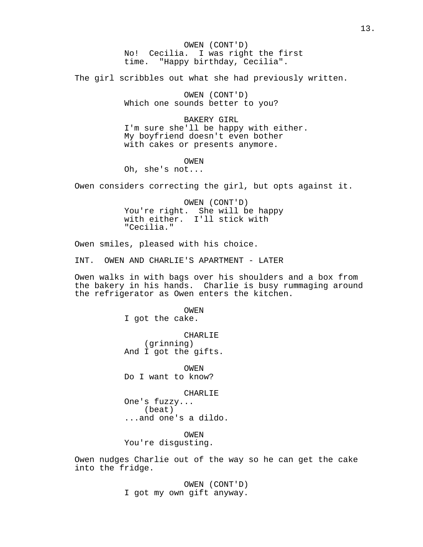OWEN (CONT'D) No! Cecilia. I was right the first time. "Happy birthday, Cecilia".

The girl scribbles out what she had previously written.

OWEN (CONT'D) Which one sounds better to you?

BAKERY GIRL I'm sure she'll be happy with either. My boyfriend doesn't even bother with cakes or presents anymore.

OWEN

Oh, she's not...

Owen considers correcting the girl, but opts against it.

OWEN (CONT'D) You're right. She will be happy with either. I'll stick with "Cecilia."

Owen smiles, pleased with his choice.

INT. OWEN AND CHARLIE'S APARTMENT - LATER

Owen walks in with bags over his shoulders and a box from the bakery in his hands. Charlie is busy rummaging around the refrigerator as Owen enters the kitchen.

> OWEN I got the cake. CHARLIE (grinning) And I got the gifts.

OWEN Do I want to know?

CHARLIE One's fuzzy... (beat) ...and one's a dildo.

OWEN You're disgusting.

Owen nudges Charlie out of the way so he can get the cake into the fridge.

> OWEN (CONT'D) I got my own gift anyway.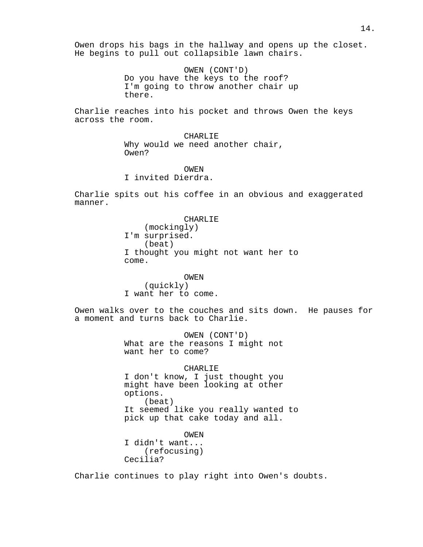Owen drops his bags in the hallway and opens up the closet. He begins to pull out collapsible lawn chairs.

> OWEN (CONT'D) Do you have the keys to the roof? I'm going to throw another chair up there.

Charlie reaches into his pocket and throws Owen the keys across the room.

> CHARLIE Why would we need another chair, Owen?

OWEN I invited Dierdra.

Charlie spits out his coffee in an obvious and exaggerated manner.

> CHARLIE (mockingly) I'm surprised. (beat) I thought you might not want her to come.

OWEN (quickly) I want her to come.

Owen walks over to the couches and sits down. He pauses for a moment and turns back to Charlie.

> OWEN (CONT'D) What are the reasons I might not want her to come?

CHARLIE I don't know, I just thought you might have been looking at other options. (beat) It seemed like you really wanted to pick up that cake today and all.

OWEN I didn't want... (refocusing) Cecilia?

Charlie continues to play right into Owen's doubts.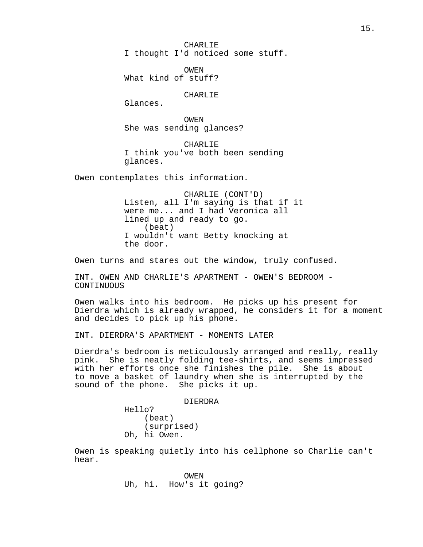CHARLIE I thought I'd noticed some stuff.

OWEN What kind of stuff?

CHARLIE

Glances.

OWEN She was sending glances?

CHARLIE I think you've both been sending glances.

Owen contemplates this information.

CHARLIE (CONT'D) Listen, all I'm saying is that if it were me... and I had Veronica all lined up and ready to go. (beat) I wouldn't want Betty knocking at the door.

Owen turns and stares out the window, truly confused.

INT. OWEN AND CHARLIE'S APARTMENT - OWEN'S BEDROOM - CONTINUOUS

Owen walks into his bedroom. He picks up his present for Dierdra which is already wrapped, he considers it for a moment and decides to pick up his phone.

INT. DIERDRA'S APARTMENT - MOMENTS LATER

Dierdra's bedroom is meticulously arranged and really, really pink. She is neatly folding tee-shirts, and seems impressed with her efforts once she finishes the pile. She is about to move a basket of laundry when she is interrupted by the sound of the phone. She picks it up.

DIERDRA

Hello? (beat) (surprised) Oh, hi Owen.

Owen is speaking quietly into his cellphone so Charlie can't hear.

> OWEN Uh, hi. How's it going?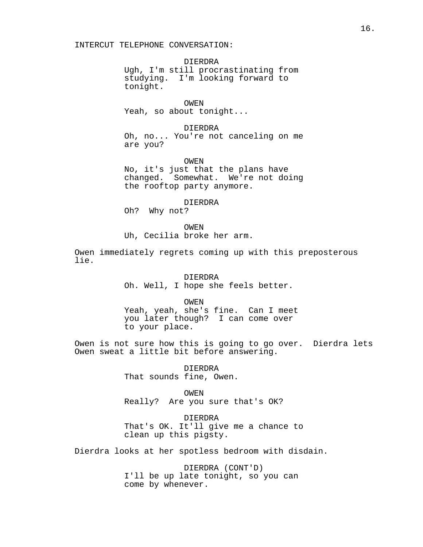### INTERCUT TELEPHONE CONVERSATION:

DIERDRA Ugh, I'm still procrastinating from studying. I'm looking forward to tonight.

OWEN Yeah, so about tonight...

#### DIERDRA

Oh, no... You're not canceling on me are you?

OWEN

No, it's just that the plans have changed. Somewhat. We're not doing the rooftop party anymore.

DIERDRA

Oh? Why not?

OWEN Uh, Cecilia broke her arm.

Owen immediately regrets coming up with this preposterous lie.

> DIERDRA Oh. Well, I hope she feels better.

> > OWEN

Yeah, yeah, she's fine. Can I meet you later though? I can come over to your place.

Owen is not sure how this is going to go over. Dierdra lets Owen sweat a little bit before answering.

> DIERDRA That sounds fine, Owen.

> > OWEN

Really? Are you sure that's OK?

DIERDRA That's OK. It'll give me a chance to clean up this pigsty.

Dierdra looks at her spotless bedroom with disdain.

DIERDRA (CONT'D) I'll be up late tonight, so you can come by whenever.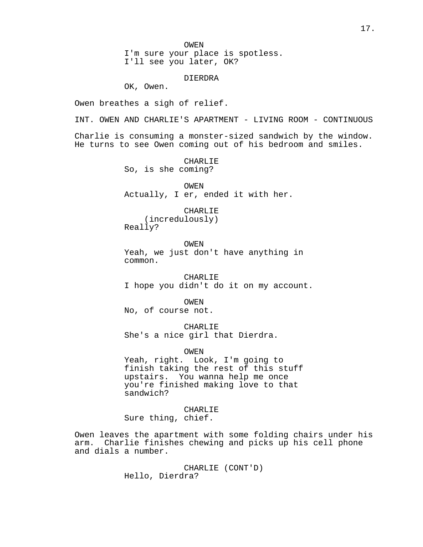OWEN

I'm sure your place is spotless. I'll see you later, OK?

DIERDRA

OK, Owen.

Owen breathes a sigh of relief.

INT. OWEN AND CHARLIE'S APARTMENT - LIVING ROOM - CONTINUOUS Charlie is consuming a monster-sized sandwich by the window. He turns to see Owen coming out of his bedroom and smiles.

> CHARLIE So, is she coming?

OWEN Actually, I er, ended it with her.

CHARLIE

(incredulously) Really?

OWEN Yeah, we just don't have anything in common.

CHARLIE I hope you didn't do it on my account.

OWEN No, of course not.

CHARLIE She's a nice girl that Dierdra.

OWEN

Yeah, right. Look, I'm going to finish taking the rest of this stuff upstairs. You wanna help me once you're finished making love to that sandwich?

CHARLIE Sure thing, chief.

Owen leaves the apartment with some folding chairs under his arm. Charlie finishes chewing and picks up his cell phone and dials a number.

> CHARLIE (CONT'D) Hello, Dierdra?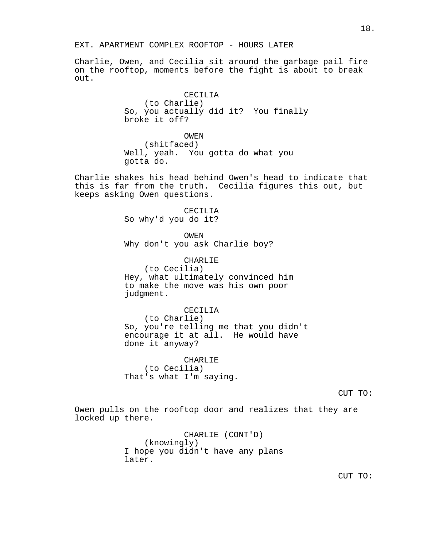EXT. APARTMENT COMPLEX ROOFTOP - HOURS LATER

Charlie, Owen, and Cecilia sit around the garbage pail fire on the rooftop, moments before the fight is about to break out.

### CECILIA

(to Charlie) So, you actually did it? You finally broke it off?

OWEN (shitfaced) Well, yeah. You gotta do what you gotta do.

Charlie shakes his head behind Owen's head to indicate that this is far from the truth. Cecilia figures this out, but keeps asking Owen questions.

> CECILIA So why'd you do it?

> > OWEN

Why don't you ask Charlie boy?

CHARLIE

(to Cecilia) Hey, what ultimately convinced him to make the move was his own poor judgment.

#### CECILIA

(to Charlie) So, you're telling me that you didn't encourage it at all. He would have done it anyway?

CHARLIE (to Cecilia) That's what I'm saying.

CUT TO:

Owen pulls on the rooftop door and realizes that they are locked up there.

> CHARLIE (CONT'D) (knowingly) I hope you didn't have any plans later.

CUT TO: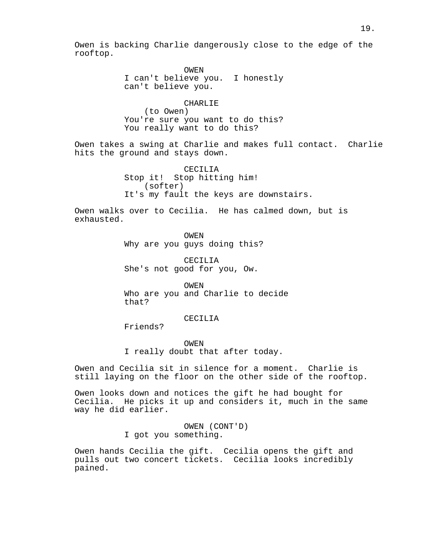Owen is backing Charlie dangerously close to the edge of the rooftop.

> OWEN I can't believe you. I honestly can't believe you.

> > CHARLIE

(to Owen) You're sure you want to do this? You really want to do this?

Owen takes a swing at Charlie and makes full contact. Charlie hits the ground and stays down.

> CECILIA Stop it! Stop hitting him! (softer) It's my fault the keys are downstairs.

Owen walks over to Cecilia. He has calmed down, but is exhausted.

> OWEN Why are you guys doing this?

CECILIA She's not good for you, Ow.

OWEN Who are you and Charlie to decide that?

## CECILIA

Friends?

OWEN I really doubt that after today.

Owen and Cecilia sit in silence for a moment. Charlie is still laying on the floor on the other side of the rooftop.

Owen looks down and notices the gift he had bought for Cecilia. He picks it up and considers it, much in the same way he did earlier.

> OWEN (CONT'D) I got you something.

Owen hands Cecilia the gift. Cecilia opens the gift and pulls out two concert tickets. Cecilia looks incredibly pained.